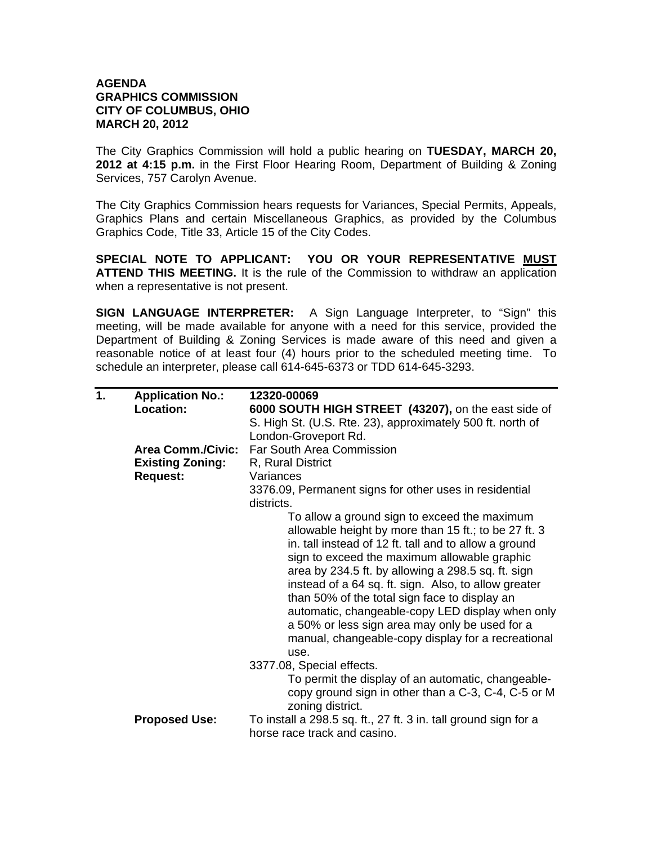## **AGENDA GRAPHICS COMMISSION CITY OF COLUMBUS, OHIO MARCH 20, 2012**

The City Graphics Commission will hold a public hearing on **TUESDAY, MARCH 20, 2012 at 4:15 p.m.** in the First Floor Hearing Room, Department of Building & Zoning Services, 757 Carolyn Avenue.

The City Graphics Commission hears requests for Variances, Special Permits, Appeals, Graphics Plans and certain Miscellaneous Graphics, as provided by the Columbus Graphics Code, Title 33, Article 15 of the City Codes.

**SPECIAL NOTE TO APPLICANT: YOU OR YOUR REPRESENTATIVE MUST ATTEND THIS MEETING.** It is the rule of the Commission to withdraw an application when a representative is not present.

**SIGN LANGUAGE INTERPRETER:** A Sign Language Interpreter, to "Sign" this meeting, will be made available for anyone with a need for this service, provided the Department of Building & Zoning Services is made aware of this need and given a reasonable notice of at least four (4) hours prior to the scheduled meeting time. To schedule an interpreter, please call 614-645-6373 or TDD 614-645-3293.

| 1. | <b>Application No.:</b><br>Location: | 12320-00069<br>6000 SOUTH HIGH STREET (43207), on the east side of<br>S. High St. (U.S. Rte. 23), approximately 500 ft. north of<br>London-Groveport Rd.                                                                                                                                                                                                                                                                                                                                                                                         |
|----|--------------------------------------|--------------------------------------------------------------------------------------------------------------------------------------------------------------------------------------------------------------------------------------------------------------------------------------------------------------------------------------------------------------------------------------------------------------------------------------------------------------------------------------------------------------------------------------------------|
|    | <b>Area Comm./Civic:</b>             | Far South Area Commission                                                                                                                                                                                                                                                                                                                                                                                                                                                                                                                        |
|    | <b>Existing Zoning:</b>              | R, Rural District                                                                                                                                                                                                                                                                                                                                                                                                                                                                                                                                |
|    | <b>Request:</b>                      | Variances                                                                                                                                                                                                                                                                                                                                                                                                                                                                                                                                        |
|    |                                      | 3376.09, Permanent signs for other uses in residential<br>districts.                                                                                                                                                                                                                                                                                                                                                                                                                                                                             |
|    |                                      | To allow a ground sign to exceed the maximum<br>allowable height by more than 15 ft.; to be 27 ft. 3<br>in. tall instead of 12 ft. tall and to allow a ground<br>sign to exceed the maximum allowable graphic<br>area by 234.5 ft. by allowing a 298.5 sq. ft. sign<br>instead of a 64 sq. ft. sign. Also, to allow greater<br>than 50% of the total sign face to display an<br>automatic, changeable-copy LED display when only<br>a 50% or less sign area may only be used for a<br>manual, changeable-copy display for a recreational<br>use. |
|    |                                      | 3377.08, Special effects.<br>To permit the display of an automatic, changeable-<br>copy ground sign in other than a C-3, C-4, C-5 or M                                                                                                                                                                                                                                                                                                                                                                                                           |
|    | <b>Proposed Use:</b>                 | zoning district.<br>To install a 298.5 sq. ft., 27 ft. 3 in. tall ground sign for a<br>horse race track and casino.                                                                                                                                                                                                                                                                                                                                                                                                                              |